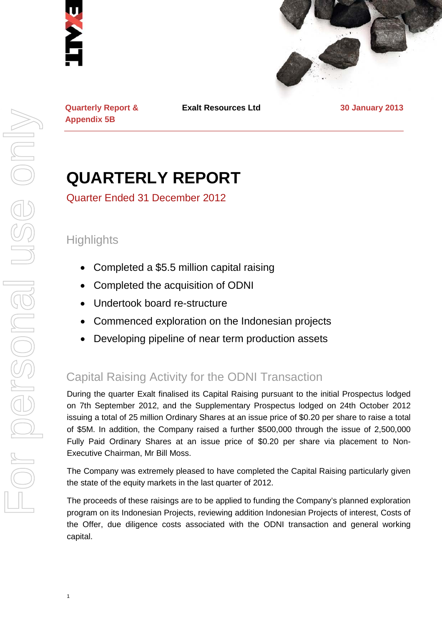



**Exalt Resources Ltd 30 January 2013**

**Appendix 5B**

1

**QUARTERLY REPORT**

Quarter Ended 31 December 2012

# **Highlights**

**Quarterly Report &** 

- Completed a \$5.5 million capital raising
- Completed the acquisition of ODNI
- Undertook board re-structure
- Commenced exploration on the Indonesian projects
- Developing pipeline of near term production assets

# Capital Raising Activity for the ODNI Transaction

During the quarter Exalt finalised its Capital Raising pursuant to the initial Prospectus lodged on 7th September 2012, and the Supplementary Prospectus lodged on 24th October 2012 issuing a total of 25 million Ordinary Shares at an issue price of \$0.20 per share to raise a total of \$5M. In addition, the Company raised a further \$500,000 through the issue of 2,500,000 Fully Paid Ordinary Shares at an issue price of \$0.20 per share via placement to Non-Executive Chairman, Mr Bill Moss.

The Company was extremely pleased to have completed the Capital Raising particularly given the state of the equity markets in the last quarter of 2012.

The proceeds of these raisings are to be applied to funding the Company's planned exploration program on its Indonesian Projects, reviewing addition Indonesian Projects of interest, Costs of the Offer, due diligence costs associated with the ODNI transaction and general working capital.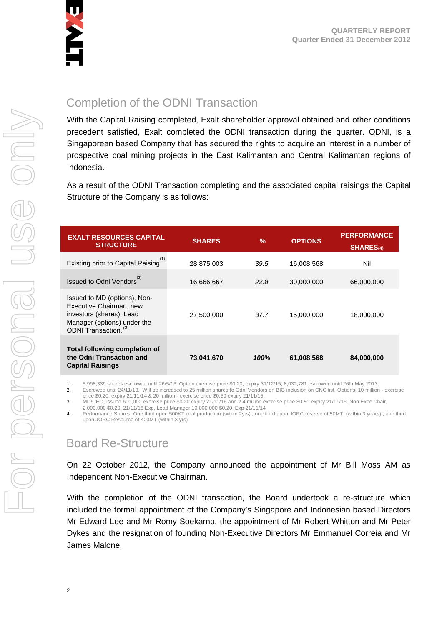

# Completion of the ODNI Transaction

With the Capital Raising completed, Exalt shareholder approval obtained and other conditions precedent satisfied, Exalt completed the ODNI transaction during the quarter. ODNI, is a Singaporean based Company that has secured the rights to acquire an interest in a number of prospective coal mining projects in the East Kalimantan and Central Kalimantan regions of Indonesia.

As a result of the ODNI Transaction completing and the associated capital raisings the Capital Structure of the Company is as follows:

| <b>EXALT RESOURCES CAPITAL</b><br><b>STRUCTURE</b>                                                                                          | <b>SHARES</b> | $\frac{9}{6}$ | <b>OPTIONS</b> | <b>PERFORMANCE</b><br><b>SHARES(4)</b> |
|---------------------------------------------------------------------------------------------------------------------------------------------|---------------|---------------|----------------|----------------------------------------|
| Existing prior to Capital Raising <sup>(1)</sup>                                                                                            | 28,875,003    | 39.5          | 16,008,568     | Nil                                    |
| Issued to Odni Vendors <sup>(2)</sup>                                                                                                       | 16,666,667    | 22.8          | 30,000,000     | 66,000,000                             |
| Issued to MD (options), Non-<br>Executive Chairman, new<br>investors (shares), Lead<br>Manager (options) under the<br>ODNI Transaction. (3) | 27,500,000    | 37.7          | 15,000,000     | 18,000,000                             |
| <b>Total following completion of</b><br>the Odni Transaction and<br><b>Capital Raisings</b>                                                 | 73,041,670    | 100%          | 61,008,568     | 84,000,000                             |

1. 5,998,339 shares escrowed until 26/5/13. Option exercise price \$0.20, expiry 31/12/15; 8,032,781 escrowed until 26th May 2013.

2. Escrowed until 24/11/13. Will be increased to 25 million shares to Odni Vendors on BIG inclusion on CNC list. Options: 10 million - exercise

price \$0.20, expiry 21/11/14 & 20 million - exercise price \$0.50 expiry 21/11/15.

3. MD/CEO, issued 600,000 exercise price \$0.20 expiry 21/11/16 and 2.4 million exercise price \$0.50 expiry 21/11/16, Non Exec Chair,

2,000,000 \$0.20, 21/11/16 Exp, Lead Manager 10,000,000 \$0.20, Exp 21/11/14

4. Performance Shares: One third upon 500KT coal production (within 2yrs) ; one third upon JORC reserve of 50MT (within 3 years) ; one third upon JORC Resource of 400MT (within 3 yrs)

# Board Re-Structure

On 22 October 2012, the Company announced the appointment of Mr Bill Moss AM as Independent Non-Executive Chairman.

With the completion of the ODNI transaction, the Board undertook a re-structure which included the formal appointment of the Company's Singapore and Indonesian based Directors Mr Edward Lee and Mr Romy Soekarno, the appointment of Mr Robert Whitton and Mr Peter Dykes and the resignation of founding Non-Executive Directors Mr Emmanuel Correia and Mr James Malone.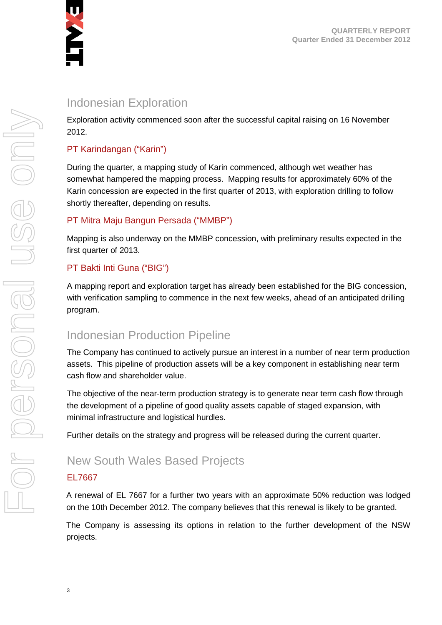

# Indonesian Exploration

Exploration activity commenced soon after the successful capital raising on 16 November 2012.

### PT Karindangan ("Karin")

During the quarter, a mapping study of Karin commenced, although wet weather has somewhat hampered the mapping process. Mapping results for approximately 60% of the Karin concession are expected in the first quarter of 2013, with exploration drilling to follow shortly thereafter, depending on results.

### PT Mitra Maju Bangun Persada ("MMBP")

Mapping is also underway on the MMBP concession, with preliminary results expected in the first quarter of 2013.

### PT Bakti Inti Guna ("BIG")

A mapping report and exploration target has already been established for the BIG concession, with verification sampling to commence in the next few weeks, ahead of an anticipated drilling program.

# Indonesian Production Pipeline

The Company has continued to actively pursue an interest in a number of near term production assets. This pipeline of production assets will be a key component in establishing near term cash flow and shareholder value.

The objective of the near-term production strategy is to generate near term cash flow through the development of a pipeline of good quality assets capable of staged expansion, with minimal infrastructure and logistical hurdles.

Further details on the strategy and progress will be released during the current quarter.

# New South Wales Based Projects

### EL7667

A renewal of EL 7667 for a further two years with an approximate 50% reduction was lodged on the 10th December 2012. The company believes that this renewal is likely to be granted.

The Company is assessing its options in relation to the further development of the NSW projects.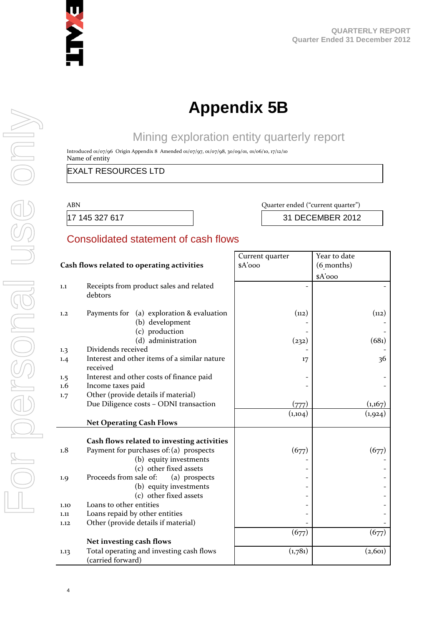

# **Appendix 5B**

# Mining exploration entity quarterly report

Introduced 01/07/96 Origin Appendix 8 Amended 01/07/97, 01/07/98, 30/09/01, 01/06/10, 17/12/10 Name of entity

### EXALT RESOURCES LTD

#### ABN Quarter ended ("current quarter")

17 145 327 617 31 DECEMBER 2012

### Consolidated statement of cash flows

|                  |                                                                                | Current quarter | Year to date |  |
|------------------|--------------------------------------------------------------------------------|-----------------|--------------|--|
|                  | Cash flows related to operating activities                                     | \$A'ooo         | (6 months)   |  |
|                  |                                                                                |                 | $A'$ ooo     |  |
| 1.1              | Receipts from product sales and related<br>debtors                             |                 |              |  |
| 1,2              | Payments for (a) exploration & evaluation<br>(b) development<br>(c) production | (112)           | (n2)         |  |
|                  | (d) administration                                                             | (232)           | (681)        |  |
| 1.3              | Dividends received                                                             |                 |              |  |
| 1.4              | Interest and other items of a similar nature<br>received                       | 17              | 36           |  |
| 1.5              | Interest and other costs of finance paid                                       |                 |              |  |
| $1.6\phantom{0}$ | Income taxes paid                                                              |                 |              |  |
| 1.7              | Other (provide details if material)                                            |                 |              |  |
|                  | Due Diligence costs - ODNI transaction                                         | (777)           | (1,167)      |  |
|                  |                                                                                | (1,104)         | (1,924)      |  |
|                  | <b>Net Operating Cash Flows</b>                                                |                 |              |  |
|                  |                                                                                |                 |              |  |
|                  | Cash flows related to investing activities                                     |                 |              |  |
| 1.8              | Payment for purchases of: (a) prospects                                        | (677)           | (677)        |  |
|                  | (b) equity investments                                                         |                 |              |  |
|                  | (c) other fixed assets                                                         |                 |              |  |
| 1.9              | Proceeds from sale of:<br>(a) prospects                                        |                 |              |  |
|                  | (b) equity investments                                                         |                 |              |  |
|                  | (c) other fixed assets                                                         |                 |              |  |
| 1.10             | Loans to other entities                                                        |                 |              |  |
| 1.11             | Loans repaid by other entities                                                 |                 |              |  |
| 1.12             | Other (provide details if material)                                            |                 |              |  |
|                  |                                                                                | (677)           | (677)        |  |
|                  | Net investing cash flows                                                       |                 |              |  |
| 1.13             | Total operating and investing cash flows<br>(carried forward)                  | (1,781)         | (2, 601)     |  |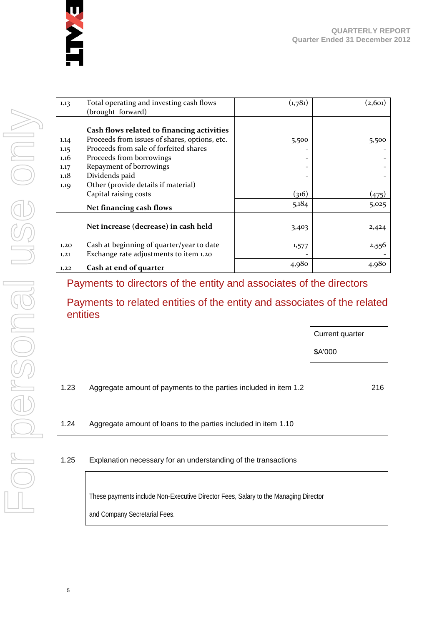

| 1.13 | Total operating and investing cash flows<br>(brought forward) | (1,781) | (2, 601) |
|------|---------------------------------------------------------------|---------|----------|
|      |                                                               |         |          |
|      | Cash flows related to financing activities                    |         |          |
| 1.14 | Proceeds from issues of shares, options, etc.                 | 5,500   | 5,500    |
| 1.15 | Proceeds from sale of forfeited shares                        |         |          |
| 1.16 | Proceeds from borrowings                                      |         |          |
| 1.17 | Repayment of borrowings                                       |         |          |
| 1.18 | Dividends paid                                                |         |          |
| 1.19 | Other (provide details if material)                           |         |          |
|      | Capital raising costs                                         | (316)   | (475)    |
|      | Net financing cash flows                                      | 5,184   | 5,025    |
|      |                                                               |         |          |
|      | Net increase (decrease) in cash held                          | 3,403   | 2,424    |
| 1.20 | Cash at beginning of quarter/year to date                     | 1,577   | 2,556    |
| 1.21 | Exchange rate adjustments to item 1.20                        |         |          |
| 1.22 | Cash at end of quarter                                        | 4,980   | 4,980    |

### Payments to directors of the entity and associates of the directors

### Payments to related entities of the entity and associates of the related entities

|      |                                                                  | Current quarter |
|------|------------------------------------------------------------------|-----------------|
|      |                                                                  | \$A'000         |
|      |                                                                  |                 |
| 1.23 | Aggregate amount of payments to the parties included in item 1.2 | 216             |
|      |                                                                  |                 |
| 1.24 | Aggregate amount of loans to the parties included in item 1.10   |                 |

### 1.25 Explanation necessary for an understanding of the transactions

These payments include Non-Executive Director Fees, Salary to the Managing Director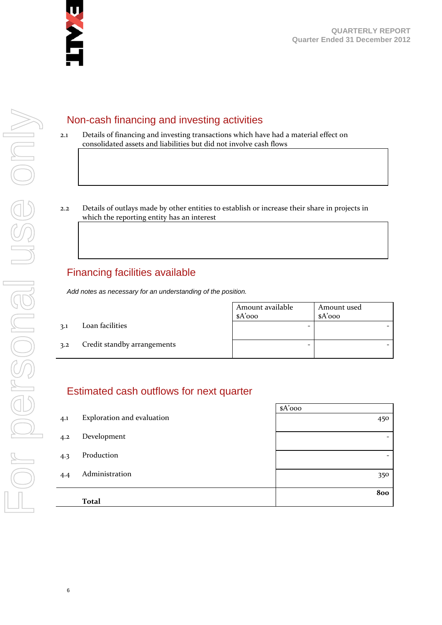

For personal use only For personal use onN

# Non-cash financing and investing activities

- 2.1 Details of financing and investing transactions which have had a material effect on consolidated assets and liabilities but did not involve cash flows
- 2.2 Details of outlays made by other entities to establish or increase their share in projects in which the reporting entity has an interest

# Financing facilities available

*Add notes as necessary for an understanding of the position.*

|     |                             | Amount available<br>\$A'ooo | Amount used<br>$A'$ 000 |
|-----|-----------------------------|-----------------------------|-------------------------|
| 3.1 | Loan facilities             | -                           |                         |
| 3.2 | Credit standby arrangements | -                           |                         |

### Estimated cash outflows for next quarter

|     |                            | $A'$ 000                 |
|-----|----------------------------|--------------------------|
| 4.1 | Exploration and evaluation | 450                      |
| 4.2 | Development                | $\overline{\phantom{0}}$ |
| 4.3 | Production                 | $\overline{\phantom{0}}$ |
| 4.4 | Administration             | 350                      |
|     | <b>Total</b>               | 800                      |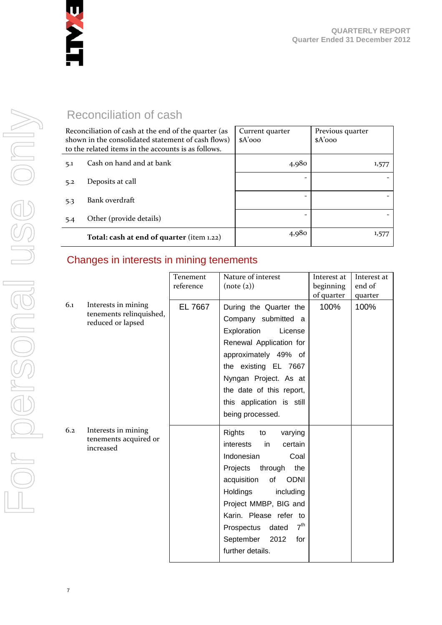

Reconciliation of cash

| Reconciliation of cash at the end of the quarter (as<br>shown in the consolidated statement of cash flows)<br>to the related items in the accounts is as follows. |                                           | Current quarter<br>$A'$ 000 | Previous quarter<br>$A'$ 000 |
|-------------------------------------------------------------------------------------------------------------------------------------------------------------------|-------------------------------------------|-----------------------------|------------------------------|
| 5.1                                                                                                                                                               | Cash on hand and at bank                  | 4,980                       | 1,577                        |
| 5.2                                                                                                                                                               | Deposits at call                          |                             |                              |
| 5.3                                                                                                                                                               | Bank overdraft                            |                             |                              |
| 5.4                                                                                                                                                               | Other (provide details)                   |                             |                              |
|                                                                                                                                                                   | Total: cash at end of quarter (item 1.22) | 4,980                       | 1,577                        |

# Changes in interests in mining tenements

|     |                                                | Tenement  | Nature of interest                  | Interest at | Interest at |
|-----|------------------------------------------------|-----------|-------------------------------------|-------------|-------------|
|     |                                                | reference | (note (2))                          | beginning   | end of      |
|     |                                                |           |                                     | of quarter  | quarter     |
| 6.1 | Interests in mining<br>tenements relinquished, | EL 7667   | During the Quarter the              | 100%        | 100%        |
|     | reduced or lapsed                              |           | Company submitted a                 |             |             |
|     |                                                |           | Exploration<br>License              |             |             |
|     |                                                |           | Renewal Application for             |             |             |
|     |                                                |           | approximately 49% of                |             |             |
|     |                                                |           | the existing EL 7667                |             |             |
|     |                                                |           | Nyngan Project. As at               |             |             |
|     |                                                |           | the date of this report,            |             |             |
|     |                                                |           | this application is still           |             |             |
|     |                                                |           | being processed.                    |             |             |
| 6.2 | Interests in mining                            |           | Rights<br>varying<br>to             |             |             |
|     | tenements acquired or                          |           | interests<br>certain<br>in          |             |             |
|     | increased                                      |           | Indonesian<br>Coal                  |             |             |
|     |                                                |           | through<br>Projects<br>the          |             |             |
|     |                                                |           | acquisition<br>of<br><b>ODNI</b>    |             |             |
|     |                                                |           |                                     |             |             |
|     |                                                |           | Holdings<br>including               |             |             |
|     |                                                |           | Project MMBP, BIG and               |             |             |
|     |                                                |           | Karin. Please refer to              |             |             |
|     |                                                |           | 7 <sup>th</sup><br>Prospectus dated |             |             |
|     |                                                |           | 2012<br>September<br>for            |             |             |
|     |                                                |           | further details.                    |             |             |
|     |                                                |           |                                     |             |             |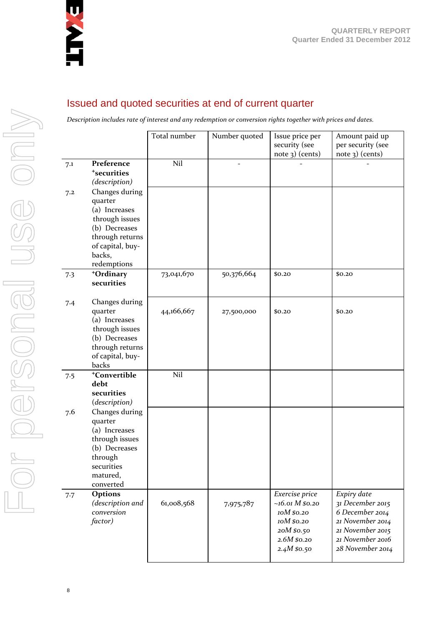

### Issued and quoted securities at end of current quarter

*Description includes rate of interest and any redemption or conversion rights together with prices and dates.*

|     |                                     | Total number | Number quoted  | Issue price per<br>security (see | Amount paid up                       |
|-----|-------------------------------------|--------------|----------------|----------------------------------|--------------------------------------|
|     |                                     |              |                | note 3) (cents)                  | per security (see<br>note 3) (cents) |
| 7.1 | Preference                          | Nil          | $\overline{a}$ |                                  |                                      |
|     | <sup>+</sup> securities             |              |                |                                  |                                      |
|     | (description)                       |              |                |                                  |                                      |
| 7.2 | Changes during<br>quarter           |              |                |                                  |                                      |
|     | (a) Increases                       |              |                |                                  |                                      |
|     | through issues                      |              |                |                                  |                                      |
|     | (b) Decreases                       |              |                |                                  |                                      |
|     | through returns<br>of capital, buy- |              |                |                                  |                                      |
|     | backs,                              |              |                |                                  |                                      |
|     | redemptions                         |              |                |                                  |                                      |
| 7.3 | +Ordinary                           | 73,041,670   | 50,376,664     | \$0.20                           | \$0.20                               |
|     | securities                          |              |                |                                  |                                      |
| 7.4 | Changes during                      |              |                |                                  |                                      |
|     | quarter                             | 44,166,667   | 27,500,000     | \$0.20                           | \$0.20                               |
|     | (a) Increases<br>through issues     |              |                |                                  |                                      |
|     | (b) Decreases                       |              |                |                                  |                                      |
|     | through returns                     |              |                |                                  |                                      |
|     | of capital, buy-<br>backs           |              |                |                                  |                                      |
| 7.5 | <sup>+</sup> Convertible            | Nil          |                |                                  |                                      |
|     | debt                                |              |                |                                  |                                      |
|     | securities<br>(description)         |              |                |                                  |                                      |
| 7.6 | Changes during                      |              |                |                                  |                                      |
|     | quarter                             |              |                |                                  |                                      |
|     | (a) Increases                       |              |                |                                  |                                      |
|     | through issues<br>(b) Decreases     |              |                |                                  |                                      |
|     | through                             |              |                |                                  |                                      |
|     | securities                          |              |                |                                  |                                      |
|     | matured,                            |              |                |                                  |                                      |
| 7.7 | converted<br>Options                |              |                | Exercise price                   | Expiry date                          |
|     | (description and                    | 61,008,568   | 7,975,787      | $~16.01 M$ \$0.20                | 31 December 2015                     |
|     | conversion                          |              |                | 10M \$0.20                       | 6 December 2014                      |
|     | factor)                             |              |                | 10M \$0.20                       | 21 November 2014                     |
|     |                                     |              |                | 20M \$0.50<br>2.6M \$0.20        | 21 November 2015<br>21 November 2016 |
|     |                                     |              |                | 2.4M \$0.50                      | 28 November 2014                     |
|     |                                     |              |                |                                  |                                      |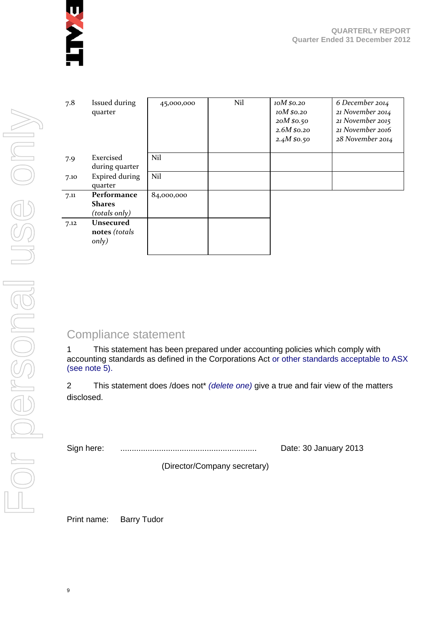

| 7.8  | Issued during<br>quarter                      | 45,000,000 | Nil | 10M \$0.20<br>10M \$0.20<br>20M \$0.50<br>$2.6M\,$ \$0.20<br>2.4 $M$ \$0.50 | 6 December 2014<br>21 November 2014<br>21 November 2015<br>21 November 2016<br>28 November 2014 |
|------|-----------------------------------------------|------------|-----|-----------------------------------------------------------------------------|-------------------------------------------------------------------------------------------------|
| 7.9  | Exercised<br>during quarter                   | Nil        |     |                                                                             |                                                                                                 |
| 7.10 | <b>Expired during</b><br>quarter              | Nil        |     |                                                                             |                                                                                                 |
| 7.11 | Performance<br><b>Shares</b><br>(totals only) | 84,000,000 |     |                                                                             |                                                                                                 |
| 7.12 | <b>Unsecured</b><br>notes (totals<br>only)    |            |     |                                                                             |                                                                                                 |

# Compliance statement

1 This statement has been prepared under accounting policies which comply with accounting standards as defined in the Corporations Act or other standards acceptable to ASX (see note 5).

2 This statement does /does not\* *(delete one)* give a true and fair view of the matters disclosed.

Sign here: ............................................................ Date: 30 January 2013

(Director/Company secretary)

Print name: Barry Tudor